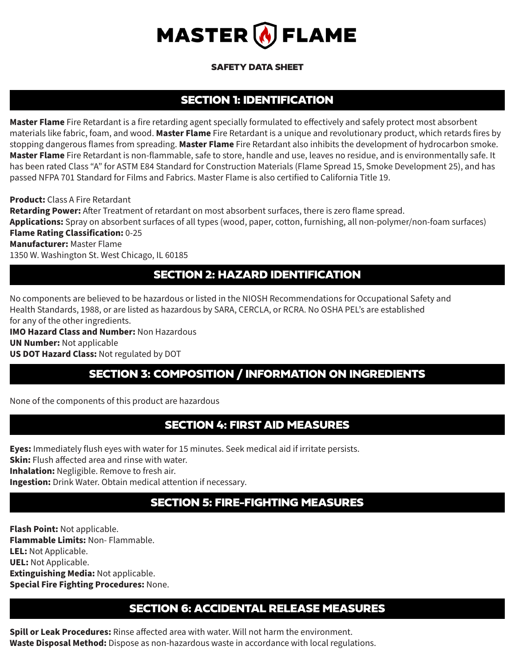

#### SAFETY DATA SHEET

### SECTION 1: IDENTIFICATION

**Master Flame** Fire Retardant is a fire retarding agent specially formulated to effectively and safely protect most absorbent materials like fabric, foam, and wood. **Master Flame** Fire Retardant is a unique and revolutionary product, which retards fires by stopping dangerous flames from spreading. **Master Flame** Fire Retardant also inhibits the development of hydrocarbon smoke. **Master Flame** Fire Retardant is non-flammable, safe to store, handle and use, leaves no residue, and is environmentally safe. It has been rated Class "A" for ASTM E84 Standard for Construction Materials (Flame Spread 15, Smoke Development 25), and has passed NFPA 701 Standard for Films and Fabrics. Master Flame is also certified to California Title 19.

**Product:** Class A Fire Retardant **Retarding Power:** After Treatment of retardant on most absorbent surfaces, there is zero flame spread. **Applications:** Spray on absorbent surfaces of all types (wood, paper, cotton, furnishing, all non-polymer/non-foam surfaces) **Flame Rating Classification:** 0-25 **Manufacturer:** Master Flame 1350 W. Washington St. West Chicago, IL 60185

## SECTION 2: HAZARD IDENTIFICATION

No components are believed to be hazardous or listed in the NIOSH Recommendations for Occupational Safety and Health Standards, 1988, or are listed as hazardous by SARA, CERCLA, or RCRA. No OSHA PEL's are established for any of the other ingredients.

**IMO Hazard Class and Number:** Non Hazardous **UN Number:** Not applicable **US DOT Hazard Class:** Not regulated by DOT

## SECTION 3: COMPOSITION / INFORMATION ON INGREDIENTS

None of the components of this product are hazardous

### SECTION 4: FIRST AID MEASURES

**Eyes:** Immediately flush eyes with water for 15 minutes. Seek medical aid if irritate persists.

**Skin:** Flush affected area and rinse with water.

**Inhalation:** Negligible. Remove to fresh air.

**Ingestion:** Drink Water. Obtain medical attention if necessary.

# SECTION 5: FIRE-FIGHTING MEASURES

**Flash Point:** Not applicable. **Flammable Limits:** Non- Flammable. **LEL:** Not Applicable. **UEL:** Not Applicable. **Extinguishing Media:** Not applicable. **Special Fire Fighting Procedures:** None.

### SECTION 6: ACCIDENTAL RELEASE MEASURES

**Spill or Leak Procedures:** Rinse affected area with water. Will not harm the environment. **Waste Disposal Method:** Dispose as non-hazardous waste in accordance with local regulations.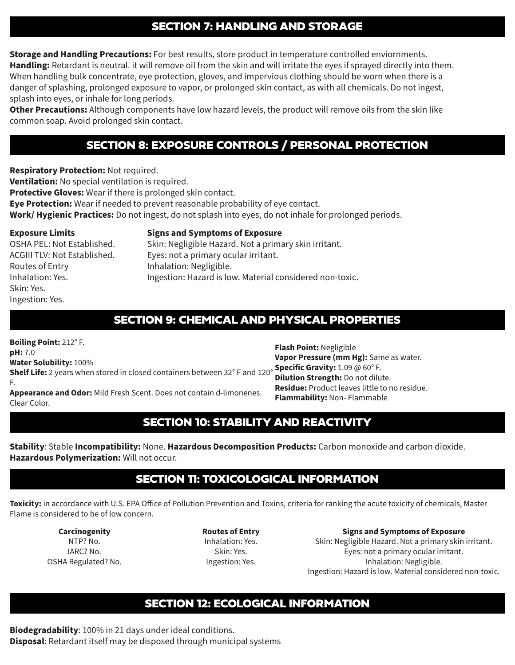### SECTION 7: HANDLING AND STORAGE

**Storage and Handling Precautions:** For best results, store product in temperature controlled enviornments. **Handling:** Retardant is neutral. it will remove oil from the skin and will irritate the eyes if sprayed directly into them. When handling bulk concentrate, eye protection, gloves, and impervious clothing should be worn when there is a danger of splashing, prolonged exposure to vapor, or prolonged skin contact, as with all chemicals. Do not ingest, splash into eyes, or inhale for long periods.

**Other Precautions:** Although components have low hazard levels, the product will remove oils from the skin like common soap. Avoid prolonged skin contact.

## SECTION 8: EXPOSURE CONTROLS / PERSONAL PROTECTION

**Respiratory Protection:** Not required.

**Ventilation:** No special ventilation is required.

**Protective Gloves:** Wear if there is prolonged skin contact.

**Eye Protection:** Wear if needed to prevent reasonable probability of eye contact.

**Work/ Hygienic Practices:** Do not ingest, do not splash into eyes, do not inhale for prolonged periods.

#### **Exposure Limits**

**Signs and Symptoms of Exposure**

OSHA PEL: Not Established. ACGIII TLV: Not Established. Routes of Entry Inhalation: Yes. Skin: Yes. Ingestion: Yes.

Skin: Negligible Hazard. Not a primary skin irritant. Eyes: not a primary ocular irritant. Inhalation: Negligible. Ingestion: Hazard is low. Material considered non-toxic.

## SECTION 9: CHEMICAL AND PHYSICAL PROPERTIES

**Boiling Point:** 212° F. **pH:** 7.0 **Water Solubility:** 100% **Shelf Life:** 2 years when stored in closed containers between 32° F and 120° **Specific Gravity:** 1.09 @ 60° F. F. **Appearance and Odor:** Mild Fresh Scent. Does not contain d-limonenes. Clear Color. **Flash Point:** Negligible **Vapor Pressure (mm Hg):** Same as water. **Dilution Strength:** Do not dilute. **Residue:** Product leaves little to no residue. **Flammability:** Non- Flammable

## SECTION 10: STABILITY AND REACTIVITY

**Stability**: Stable **Incompatibility:** None. **Hazardous Decomposition Products:** Carbon monoxide and carbon dioxide. **Hazardous Polymerization:** Will not occur.

## SECTION 11: TOXICOLOGICAL INFORMATION

**Toxicity:** in accordance with U.S. EPA Office of Pollution Prevention and Toxins, criteria for ranking the acute toxicity of chemicals, Master Flame is considered to be of low concern.

**Carcinogenity** NTP? No. IARC? No. OSHA Regulated? No. **Routes of Entry** Inhalation: Yes. Skin: Yes. Ingestion: Yes.

**Signs and Symptoms of Exposure** Skin: Negligible Hazard. Not a primary skin irritant. Eyes: not a primary ocular irritant. Inhalation: Negligible. Ingestion: Hazard is low. Material considered non-toxic.

## SECTION 12: ECOLOGICAL INFORMATION

**Biodegradability**: 100% in 21 days under ideal conditions. **Disposal**: Retardant itself may be disposed through municipal systems